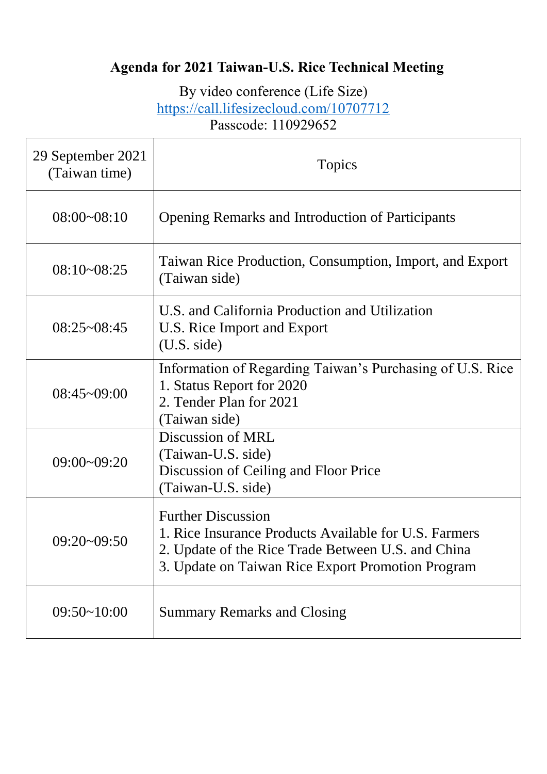# **Agenda for 2021 Taiwan-U.S. Rice Technical Meeting**

By video conference (Life Size) <https://call.lifesizecloud.com/10707712> Passcode: 110929652

| 29 September 2021<br>(Taiwan time) | Topics                                                                                                                                                                                        |
|------------------------------------|-----------------------------------------------------------------------------------------------------------------------------------------------------------------------------------------------|
| $08:00 - 08:10$                    | <b>Opening Remarks and Introduction of Participants</b>                                                                                                                                       |
| $08:10-08:25$                      | Taiwan Rice Production, Consumption, Import, and Export<br>(Taiwan side)                                                                                                                      |
| $08:25 \sim 08:45$                 | U.S. and California Production and Utilization<br>U.S. Rice Import and Export<br>(U.S. side)                                                                                                  |
| 08:45~09:00                        | Information of Regarding Taiwan's Purchasing of U.S. Rice<br>1. Status Report for 2020<br>2. Tender Plan for 2021<br>(Taiwan side)                                                            |
| $09:00 - 09:20$                    | Discussion of MRL<br>(Taiwan-U.S. side)<br>Discussion of Ceiling and Floor Price<br>(Taiwan-U.S. side)                                                                                        |
| $09:20-09:50$                      | <b>Further Discussion</b><br>1. Rice Insurance Products Available for U.S. Farmers<br>2. Update of the Rice Trade Between U.S. and China<br>3. Update on Taiwan Rice Export Promotion Program |
| $09:50-10:00$                      | <b>Summary Remarks and Closing</b>                                                                                                                                                            |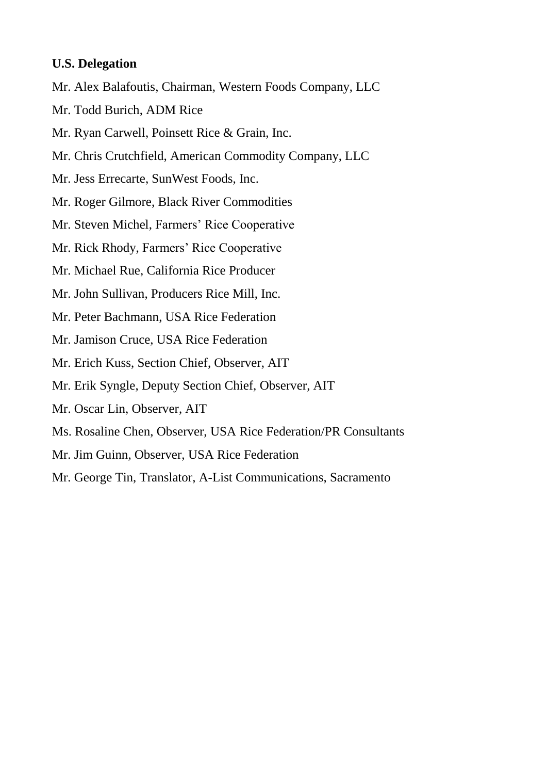#### **U.S. Delegation**

- Mr. Alex Balafoutis, Chairman, Western Foods Company, LLC
- Mr. Todd Burich, ADM Rice
- Mr. Ryan Carwell, Poinsett Rice & Grain, Inc.
- Mr. Chris Crutchfield, American Commodity Company, LLC
- Mr. Jess Errecarte, SunWest Foods, Inc.
- Mr. Roger Gilmore, Black River Commodities
- Mr. Steven Michel, Farmers' Rice Cooperative
- Mr. Rick Rhody, Farmers' Rice Cooperative
- Mr. Michael Rue, California Rice Producer
- Mr. John Sullivan, Producers Rice Mill, Inc.
- Mr. Peter Bachmann, USA Rice Federation
- Mr. Jamison Cruce, USA Rice Federation
- Mr. Erich Kuss, Section Chief, Observer, AIT
- Mr. Erik Syngle, Deputy Section Chief, Observer, AIT
- Mr. Oscar Lin, Observer, AIT
- Ms. Rosaline Chen, Observer, USA Rice Federation/PR Consultants
- Mr. Jim Guinn, Observer, USA Rice Federation
- Mr. George Tin, Translator, A-List Communications, Sacramento